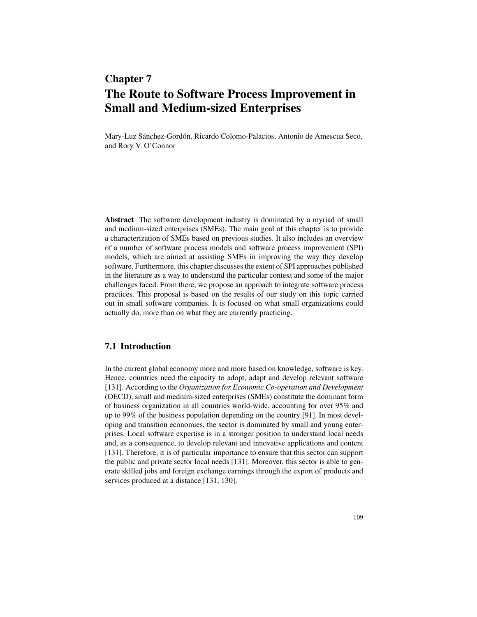# Chapter 7 The Route to Software Process Improvement in Small and Medium-sized Enterprises

Mary-Luz Sánchez-Gordón, Ricardo Colomo-Palacios, Antonio de Amescua Seco, and Rory V. O'Connor

Abstract The software development industry is dominated by a myriad of small and medium-sized enterprises (SMEs). The main goal of this chapter is to provide a characterization of SMEs based on previous studies. It also includes an overview of a number of software process models and software process improvement (SPI) models, which are aimed at assisting SMEs in improving the way they develop software. Furthermore, this chapter discusses the extent of SPI approaches published in the literature as a way to understand the particular context and some of the major challenges faced. From there, we propose an approach to integrate software process practices. This proposal is based on the results of our study on this topic carried out in small software companies. It is focused on what small organizations could actually do, more than on what they are currently practicing.

### 7.1 Introduction

In the current global economy more and more based on knowledge, software is key. Hence, countries need the capacity to adopt, adapt and develop relevant software [131]. According to the *Organization for Economic Co-operation and Development* (OECD), small and medium-sized enterprises (SMEs) constitute the dominant form of business organization in all countries world-wide, accounting for over 95% and up to 99% of the business population depending on the country [91]. In most developing and transition economies, the sector is dominated by small and young enterprises. Local software expertise is in a stronger position to understand local needs and, as a consequence, to develop relevant and innovative applications and content [131]. Therefore, it is of particular importance to ensure that this sector can support the public and private sector local needs [131]. Moreover, this sector is able to generate skilled jobs and foreign exchange earnings through the export of products and services produced at a distance [131, 130].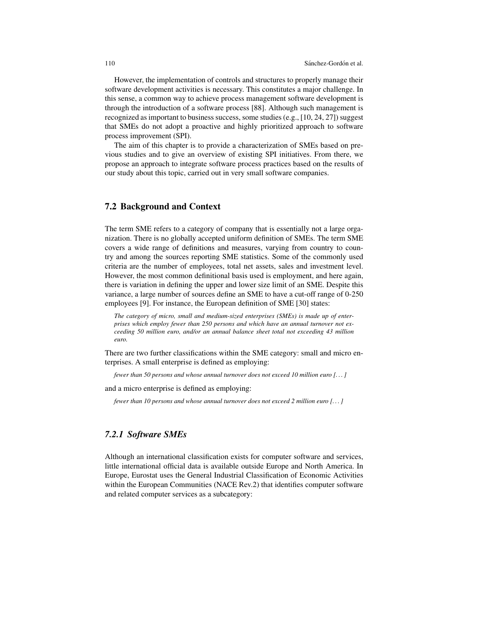However, the implementation of controls and structures to properly manage their software development activities is necessary. This constitutes a major challenge. In this sense, a common way to achieve process management software development is through the introduction of a software process [88]. Although such management is recognized as important to business success, some studies (e.g., [10, 24, 27]) suggest that SMEs do not adopt a proactive and highly prioritized approach to software process improvement (SPI).

The aim of this chapter is to provide a characterization of SMEs based on previous studies and to give an overview of existing SPI initiatives. From there, we propose an approach to integrate software process practices based on the results of our study about this topic, carried out in very small software companies.

### 7.2 Background and Context

The term SME refers to a category of company that is essentially not a large organization. There is no globally accepted uniform definition of SMEs. The term SME covers a wide range of definitions and measures, varying from country to country and among the sources reporting SME statistics. Some of the commonly used criteria are the number of employees, total net assets, sales and investment level. However, the most common definitional basis used is employment, and here again, there is variation in defining the upper and lower size limit of an SME. Despite this variance, a large number of sources define an SME to have a cut-off range of 0-250 employees [9]. For instance, the European definition of SME [30] states:

*The category of micro, small and medium-sized enterprises (SMEs) is made up of enterprises which employ fewer than 250 persons and which have an annual turnover not exceeding 50 million euro, and/or an annual balance sheet total not exceeding 43 million euro.*

There are two further classifications within the SME category: small and micro enterprises. A small enterprise is defined as employing:

*fewer than 50 persons and whose annual turnover does not exceed 10 million euro [. . . ]*

and a micro enterprise is defined as employing:

*fewer than 10 persons and whose annual turnover does not exceed 2 million euro [. . . ]*

### *7.2.1 Software SMEs*

Although an international classification exists for computer software and services, little international official data is available outside Europe and North America. In Europe, Eurostat uses the General Industrial Classification of Economic Activities within the European Communities (NACE Rev.2) that identifies computer software and related computer services as a subcategory: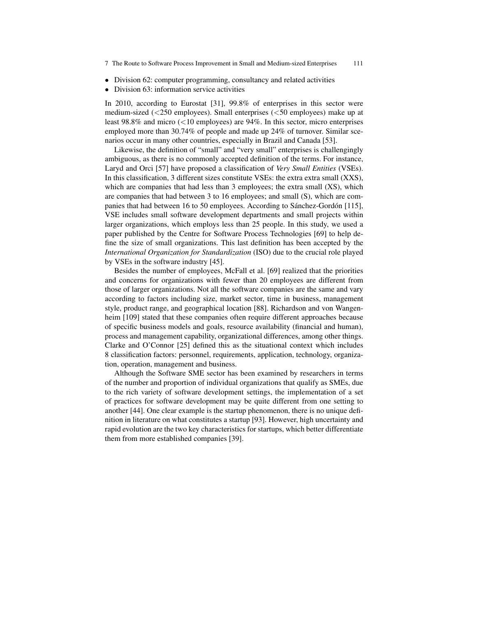- 7 The Route to Software Process Improvement in Small and Medium-sized Enterprises 111
- Division 62: computer programming, consultancy and related activities
- *•* Division 63: information service activities

In 2010, according to Eurostat [31], 99.8% of enterprises in this sector were medium-sized (*<*250 employees). Small enterprises (*<*50 employees) make up at least 98.8% and micro (*<*10 employees) are 94%. In this sector, micro enterprises employed more than 30.74% of people and made up 24% of turnover. Similar scenarios occur in many other countries, especially in Brazil and Canada [53].

Likewise, the definition of "small" and "very small" enterprises is challengingly ambiguous, as there is no commonly accepted definition of the terms. For instance, Laryd and Orci [57] have proposed a classification of *Very Small Entities* (VSEs). In this classification, 3 different sizes constitute VSEs: the extra extra small (XXS), which are companies that had less than 3 employees; the extra small (XS), which are companies that had between 3 to 16 employees; and small (S), which are companies that had between 16 to 50 employees. According to Sánchez-Gordón [115], VSE includes small software development departments and small projects within larger organizations, which employs less than 25 people. In this study, we used a paper published by the Centre for Software Process Technologies [69] to help define the size of small organizations. This last definition has been accepted by the *International Organization for Standardization* (ISO) due to the crucial role played by VSEs in the software industry [45].

Besides the number of employees, McFall et al. [69] realized that the priorities and concerns for organizations with fewer than 20 employees are different from those of larger organizations. Not all the software companies are the same and vary according to factors including size, market sector, time in business, management style, product range, and geographical location [88]. Richardson and von Wangenheim [109] stated that these companies often require different approaches because of specific business models and goals, resource availability (financial and human), process and management capability, organizational differences, among other things. Clarke and O'Connor [25] defined this as the situational context which includes 8 classification factors: personnel, requirements, application, technology, organization, operation, management and business.

Although the Software SME sector has been examined by researchers in terms of the number and proportion of individual organizations that qualify as SMEs, due to the rich variety of software development settings, the implementation of a set of practices for software development may be quite different from one setting to another [44]. One clear example is the startup phenomenon, there is no unique definition in literature on what constitutes a startup [93]. However, high uncertainty and rapid evolution are the two key characteristics for startups, which better differentiate them from more established companies [39].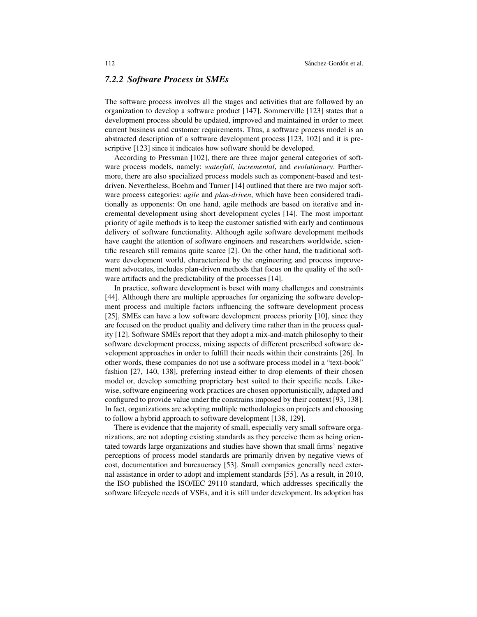#### *7.2.2 Software Process in SMEs*

The software process involves all the stages and activities that are followed by an organization to develop a software product [147]. Sommerville [123] states that a development process should be updated, improved and maintained in order to meet current business and customer requirements. Thus, a software process model is an abstracted description of a software development process [123, 102] and it is prescriptive [123] since it indicates how software should be developed.

According to Pressman [102], there are three major general categories of software process models, namely: *waterfall*, *incremental*, and *evolutionary*. Furthermore, there are also specialized process models such as component-based and testdriven. Nevertheless, Boehm and Turner [14] outlined that there are two major software process categories: *agile* and *plan-driven*, which have been considered traditionally as opponents: On one hand, agile methods are based on iterative and incremental development using short development cycles [14]. The most important priority of agile methods is to keep the customer satisfied with early and continuous delivery of software functionality. Although agile software development methods have caught the attention of software engineers and researchers worldwide, scientific research still remains quite scarce [2]. On the other hand, the traditional software development world, characterized by the engineering and process improvement advocates, includes plan-driven methods that focus on the quality of the software artifacts and the predictability of the processes [14].

In practice, software development is beset with many challenges and constraints [44]. Although there are multiple approaches for organizing the software development process and multiple factors influencing the software development process [25], SMEs can have a low software development process priority [10], since they are focused on the product quality and delivery time rather than in the process quality [12]. Software SMEs report that they adopt a mix-and-match philosophy to their software development process, mixing aspects of different prescribed software development approaches in order to fulfill their needs within their constraints [26]. In other words, these companies do not use a software process model in a "text-book" fashion [27, 140, 138], preferring instead either to drop elements of their chosen model or, develop something proprietary best suited to their specific needs. Likewise, software engineering work practices are chosen opportunistically, adapted and configured to provide value under the constrains imposed by their context [93, 138]. In fact, organizations are adopting multiple methodologies on projects and choosing to follow a hybrid approach to software development [138, 129].

There is evidence that the majority of small, especially very small software organizations, are not adopting existing standards as they perceive them as being orientated towards large organizations and studies have shown that small firms' negative perceptions of process model standards are primarily driven by negative views of cost, documentation and bureaucracy [53]. Small companies generally need external assistance in order to adopt and implement standards [55]. As a result, in 2010, the ISO published the ISO/IEC 29110 standard, which addresses specifically the software lifecycle needs of VSEs, and it is still under development. Its adoption has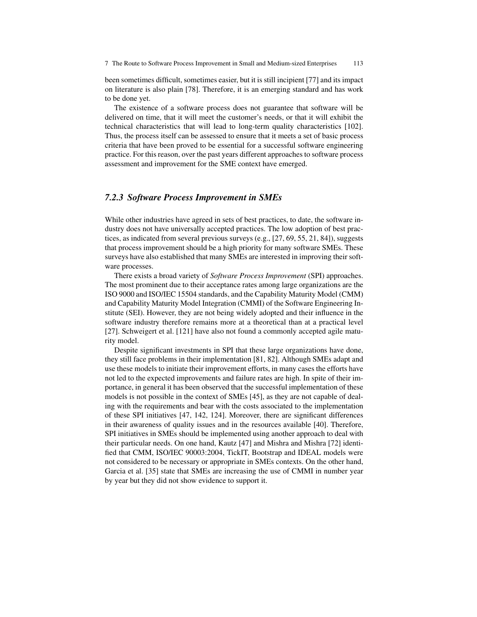been sometimes difficult, sometimes easier, but it is still incipient [77] and its impact on literature is also plain [78]. Therefore, it is an emerging standard and has work to be done yet.

The existence of a software process does not guarantee that software will be delivered on time, that it will meet the customer's needs, or that it will exhibit the technical characteristics that will lead to long-term quality characteristics [102]. Thus, the process itself can be assessed to ensure that it meets a set of basic process criteria that have been proved to be essential for a successful software engineering practice. For this reason, over the past years different approaches to software process assessment and improvement for the SME context have emerged.

#### *7.2.3 Software Process Improvement in SMEs*

While other industries have agreed in sets of best practices, to date, the software industry does not have universally accepted practices. The low adoption of best practices, as indicated from several previous surveys (e.g., [27, 69, 55, 21, 84]), suggests that process improvement should be a high priority for many software SMEs. These surveys have also established that many SMEs are interested in improving their software processes.

There exists a broad variety of *Software Process Improvement* (SPI) approaches. The most prominent due to their acceptance rates among large organizations are the ISO 9000 and ISO/IEC 15504 standards, and the Capability Maturity Model (CMM) and Capability Maturity Model Integration (CMMI) of the Software Engineering Institute (SEI). However, they are not being widely adopted and their influence in the software industry therefore remains more at a theoretical than at a practical level [27]. Schweigert et al. [121] have also not found a commonly accepted agile maturity model.

Despite significant investments in SPI that these large organizations have done, they still face problems in their implementation [81, 82]. Although SMEs adapt and use these models to initiate their improvement efforts, in many cases the efforts have not led to the expected improvements and failure rates are high. In spite of their importance, in general it has been observed that the successful implementation of these models is not possible in the context of SMEs [45], as they are not capable of dealing with the requirements and bear with the costs associated to the implementation of these SPI initiatives [47, 142, 124]. Moreover, there are significant differences in their awareness of quality issues and in the resources available [40]. Therefore, SPI initiatives in SMEs should be implemented using another approach to deal with their particular needs. On one hand, Kautz [47] and Mishra and Mishra [72] identified that CMM, ISO/IEC 90003:2004, TickIT, Bootstrap and IDEAL models were not considered to be necessary or appropriate in SMEs contexts. On the other hand, Garcia et al. [35] state that SMEs are increasing the use of CMMI in number year by year but they did not show evidence to support it.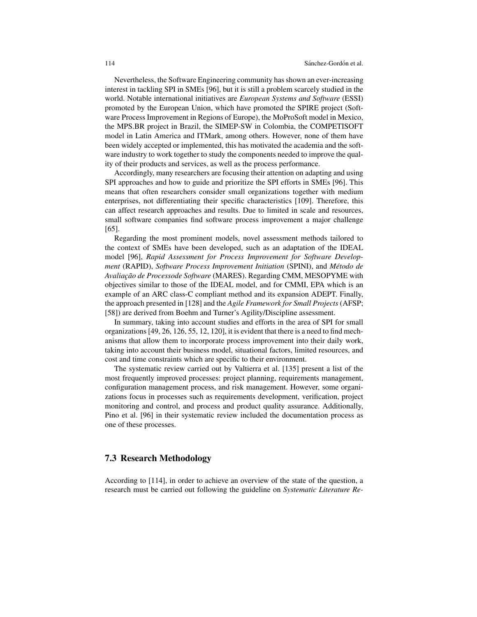Nevertheless, the Software Engineering community has shown an ever-increasing interest in tackling SPI in SMEs [96], but it is still a problem scarcely studied in the world. Notable international initiatives are *European Systems and Software* (ESSI) promoted by the European Union, which have promoted the SPIRE project (Software Process Improvement in Regions of Europe), the MoProSoft model in Mexico, the MPS.BR project in Brazil, the SIMEP-SW in Colombia, the COMPETISOFT model in Latin America and ITMark, among others. However, none of them have been widely accepted or implemented, this has motivated the academia and the software industry to work together to study the components needed to improve the quality of their products and services, as well as the process performance.

Accordingly, many researchers are focusing their attention on adapting and using SPI approaches and how to guide and prioritize the SPI efforts in SMEs [96]. This means that often researchers consider small organizations together with medium enterprises, not differentiating their specific characteristics [109]. Therefore, this can affect research approaches and results. Due to limited in scale and resources, small software companies find software process improvement a major challenge [65].

Regarding the most prominent models, novel assessment methods tailored to the context of SMEs have been developed, such as an adaptation of the IDEAL model [96], *Rapid Assessment for Process Improvement for Software Development* (RAPID), *Software Process Improvement Initiation* (SPINI), and *Metodo de ´ Avaliac¸ao de Processode Software ˜* (MARES). Regarding CMM, MESOPYME with objectives similar to those of the IDEAL model, and for CMMI, EPA which is an example of an ARC class-C compliant method and its expansion ADEPT. Finally, the approach presented in [128] and the *Agile Framework for Small Projects* (AFSP; [58]) are derived from Boehm and Turner's Agility/Discipline assessment.

In summary, taking into account studies and efforts in the area of SPI for small organizations [49, 26, 126, 55, 12, 120], it is evident that there is a need to find mechanisms that allow them to incorporate process improvement into their daily work, taking into account their business model, situational factors, limited resources, and cost and time constraints which are specific to their environment.

The systematic review carried out by Valtierra et al. [135] present a list of the most frequently improved processes: project planning, requirements management, configuration management process, and risk management. However, some organizations focus in processes such as requirements development, verification, project monitoring and control, and process and product quality assurance. Additionally, Pino et al. [96] in their systematic review included the documentation process as one of these processes.

### 7.3 Research Methodology

According to [114], in order to achieve an overview of the state of the question, a research must be carried out following the guideline on *Systematic Literature Re-*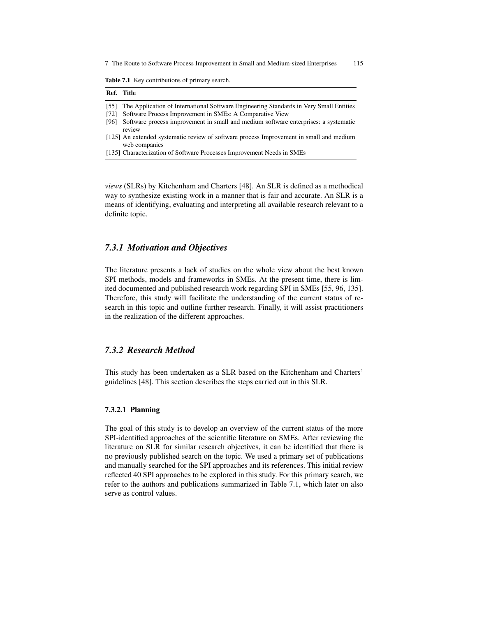7 The Route to Software Process Improvement in Small and Medium-sized Enterprises 115

Table 7.1 Key contributions of primary search.

| Ref. Title   |                                                                                                                                                    |
|--------------|----------------------------------------------------------------------------------------------------------------------------------------------------|
| [55]<br>[72] | The Application of International Software Engineering Standards in Very Small Entities<br>Software Process Improvement in SMEs: A Comparative View |
| [96]         | Software process improvement in small and medium software enterprises: a systematic<br>review                                                      |
|              | [125] An extended systematic review of software process Improvement in small and medium<br>web companies                                           |
|              | [135] Characterization of Software Processes Improvement Needs in SMEs                                                                             |

*views* (SLRs) by Kitchenham and Charters [48]. An SLR is defined as a methodical way to synthesize existing work in a manner that is fair and accurate. An SLR is a means of identifying, evaluating and interpreting all available research relevant to a definite topic.

### *7.3.1 Motivation and Objectives*

The literature presents a lack of studies on the whole view about the best known SPI methods, models and frameworks in SMEs. At the present time, there is limited documented and published research work regarding SPI in SMEs [55, 96, 135]. Therefore, this study will facilitate the understanding of the current status of research in this topic and outline further research. Finally, it will assist practitioners in the realization of the different approaches.

#### *7.3.2 Research Method*

This study has been undertaken as a SLR based on the Kitchenham and Charters' guidelines [48]. This section describes the steps carried out in this SLR.

#### 7.3.2.1 Planning

The goal of this study is to develop an overview of the current status of the more SPI-identified approaches of the scientific literature on SMEs. After reviewing the literature on SLR for similar research objectives, it can be identified that there is no previously published search on the topic. We used a primary set of publications and manually searched for the SPI approaches and its references. This initial review reflected 40 SPI approaches to be explored in this study. For this primary search, we refer to the authors and publications summarized in Table 7.1, which later on also serve as control values.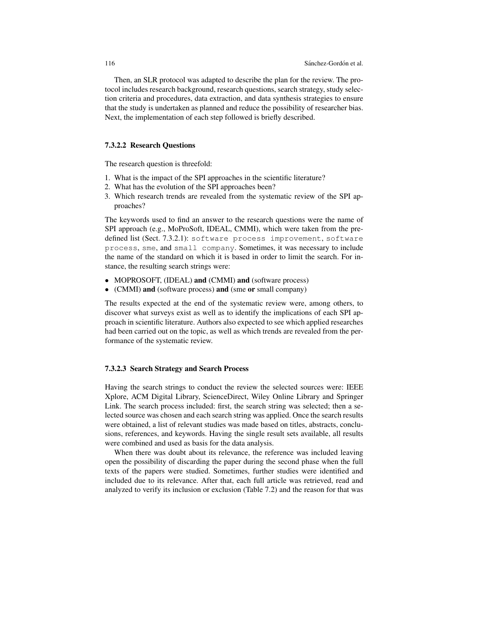Then, an SLR protocol was adapted to describe the plan for the review. The protocol includes research background, research questions, search strategy, study selection criteria and procedures, data extraction, and data synthesis strategies to ensure that the study is undertaken as planned and reduce the possibility of researcher bias. Next, the implementation of each step followed is briefly described.

#### 7.3.2.2 Research Questions

The research question is threefold:

- 1. What is the impact of the SPI approaches in the scientific literature?
- 2. What has the evolution of the SPI approaches been?
- 3. Which research trends are revealed from the systematic review of the SPI approaches?

The keywords used to find an answer to the research questions were the name of SPI approach (e.g., MoProSoft, IDEAL, CMMI), which were taken from the predefined list (Sect. 7.3.2.1): software process improvement, software process, sme, and small company. Sometimes, it was necessary to include the name of the standard on which it is based in order to limit the search. For instance, the resulting search strings were:

- MOPROSOFT, (IDEAL) and (CMMI) and (software process)
- (CMMI) and (software process) and (sme or small company)

The results expected at the end of the systematic review were, among others, to discover what surveys exist as well as to identify the implications of each SPI approach in scientific literature. Authors also expected to see which applied researches had been carried out on the topic, as well as which trends are revealed from the performance of the systematic review.

#### 7.3.2.3 Search Strategy and Search Process

Having the search strings to conduct the review the selected sources were: IEEE Xplore, ACM Digital Library, ScienceDirect, Wiley Online Library and Springer Link. The search process included: first, the search string was selected; then a selected source was chosen and each search string was applied. Once the search results were obtained, a list of relevant studies was made based on titles, abstracts, conclusions, references, and keywords. Having the single result sets available, all results were combined and used as basis for the data analysis.

When there was doubt about its relevance, the reference was included leaving open the possibility of discarding the paper during the second phase when the full texts of the papers were studied. Sometimes, further studies were identified and included due to its relevance. After that, each full article was retrieved, read and analyzed to verify its inclusion or exclusion (Table 7.2) and the reason for that was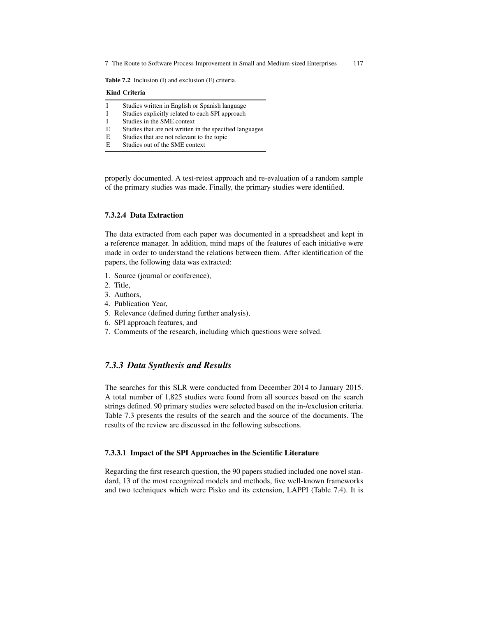7 The Route to Software Process Improvement in Small and Medium-sized Enterprises 117

Table 7.2 Inclusion (I) and exclusion (E) criteria.

| <b>Kind Criteria</b> |                                                         |  |  |  |  |
|----------------------|---------------------------------------------------------|--|--|--|--|
|                      | Studies written in English or Spanish language          |  |  |  |  |
| T                    | Studies explicitly related to each SPI approach         |  |  |  |  |
|                      | Studies in the SME context                              |  |  |  |  |
| E                    | Studies that are not written in the specified languages |  |  |  |  |
| E                    | Studies that are not relevant to the topic              |  |  |  |  |
| E                    | Studies out of the SME context                          |  |  |  |  |

properly documented. A test-retest approach and re-evaluation of a random sample of the primary studies was made. Finally, the primary studies were identified.

### 7.3.2.4 Data Extraction

The data extracted from each paper was documented in a spreadsheet and kept in a reference manager. In addition, mind maps of the features of each initiative were made in order to understand the relations between them. After identification of the papers, the following data was extracted:

- 1. Source (journal or conference),
- 2. Title,
- 3. Authors,
- 4. Publication Year,
- 5. Relevance (defined during further analysis),
- 6. SPI approach features, and
- 7. Comments of the research, including which questions were solved.

### *7.3.3 Data Synthesis and Results*

The searches for this SLR were conducted from December 2014 to January 2015. A total number of 1,825 studies were found from all sources based on the search strings defined. 90 primary studies were selected based on the in-/exclusion criteria. Table 7.3 presents the results of the search and the source of the documents. The results of the review are discussed in the following subsections.

#### 7.3.3.1 Impact of the SPI Approaches in the Scientific Literature

Regarding the first research question, the 90 papers studied included one novel standard, 13 of the most recognized models and methods, five well-known frameworks and two techniques which were Pisko and its extension, LAPPI (Table 7.4). It is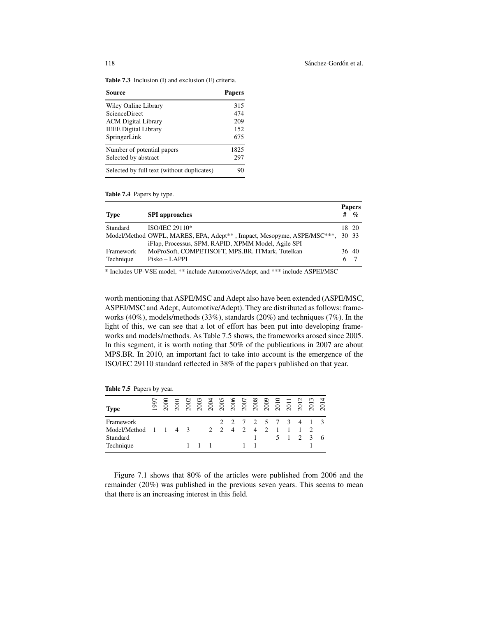Table 7.3 Inclusion (I) and exclusion (E) criteria.

| Source                                     | <b>Papers</b> |
|--------------------------------------------|---------------|
| Wiley Online Library                       | 315           |
| <b>ScienceDirect</b>                       | 474           |
| <b>ACM</b> Digital Library                 | 209           |
| <b>IEEE Digital Library</b>                | 152           |
| SpringerLink                               | 675           |
| Number of potential papers                 | 1825          |
| Selected by abstract                       | 297           |
| Selected by full text (without duplicates) | 90            |

Table 7.4 Papers by type.

|             |                                                                        |       | <b>Papers</b> |
|-------------|------------------------------------------------------------------------|-------|---------------|
| <b>Type</b> | <b>SPI</b> approaches                                                  | #     | $\%$          |
| Standard    | ISO/IEC 29110*                                                         |       | 18 20         |
|             | Model/Method OWPL, MARES, EPA, Adept**, Impact, Mesopyme, ASPE/MSC***, | 30 33 |               |
|             | iFlap, Processus, SPM, RAPID, XPMM Model, Agile SPI                    |       |               |
| Framework   | MoProSoft, COMPETISOFT, MPS.BR, ITMark, Tutelkan                       | 36 40 |               |
| Technique   | Pisko – LAPPI                                                          | 6.    |               |

\* Includes UP-VSE model, \*\* include Automotive/Adept, and \*\*\* include ASPEI/MSC

worth mentioning that ASPE/MSC and Adept also have been extended (ASPE/MSC, ASPEI/MSC and Adept, Automotive/Adept). They are distributed as follows: frameworks (40%), models/methods (33%), standards (20%) and techniques (7%). In the light of this, we can see that a lot of effort has been put into developing frameworks and models/methods. As Table 7.5 shows, the frameworks arosed since 2005. In this segment, it is worth noting that 50% of the publications in 2007 are about MPS.BR. In 2010, an important fact to take into account is the emergence of the ISO/IEC 29110 standard reflected in 38% of the papers published on that year.

Table 7.5 Papers by year.

| <b>Type</b>                                                        | $\overline{60}$ | 200 |  |             | 2003 2003 2006 2007 2008 2009 2009 2009 2009 2009 2009 2011 21:30 22:30 22:30 22:30 23:30 23:30 23:30 23:30 23:30 23:30 23:30 23:30 23:30 23:30 23:30 23:30 23:30 23:30 23:30 23:30 23:30 23:30 23:30 23:30 23:30 23:30 23:30 |  |                     |                |                |         |               |    |
|--------------------------------------------------------------------|-----------------|-----|--|-------------|-------------------------------------------------------------------------------------------------------------------------------------------------------------------------------------------------------------------------------|--|---------------------|----------------|----------------|---------|---------------|----|
| Framework<br>Model/Method $1 \t1 \t4 \t3$<br>Standard<br>Technique |                 |     |  | $1 \quad 1$ | 2 2 4 2 4                                                                                                                                                                                                                     |  | 2 2 7 2 5 7 3 4 1 3 | $\overline{2}$ | $\blacksquare$ | 5 1 2 3 | $\mathcal{L}$ | -6 |

Figure 7.1 shows that 80% of the articles were published from 2006 and the remainder (20%) was published in the previous seven years. This seems to mean that there is an increasing interest in this field.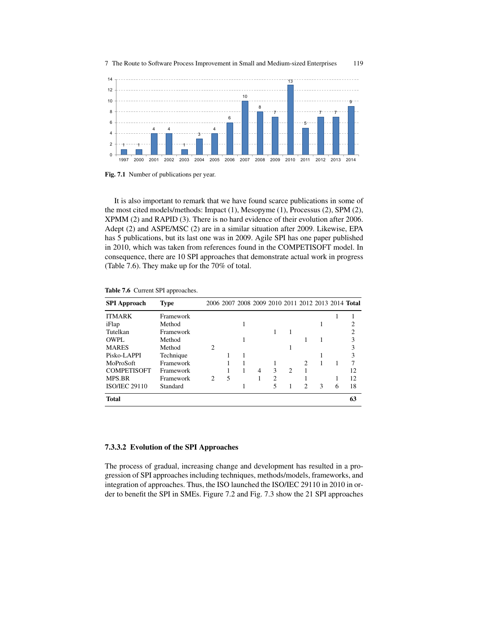



Fig. 7.1 Number of publications per year.

It is also important to remark that we have found scarce publications in some of the most cited models/methods: Impact (1), Mesopyme (1), Processus (2), SPM (2), XPMM (2) and RAPID (3). There is no hard evidence of their evolution after 2006. Adept (2) and ASPE/MSC (2) are in a similar situation after 2009. Likewise, EPA has 5 publications, but its last one was in 2009. Agile SPI has one paper published in 2010, which was taken from references found in the COMPETISOFT model. In consequence, there are 10 SPI approaches that demonstrate actual work in progress (Table 7.6). They make up for the 70% of total.

| <b>SPI</b> Approach  | Type      |                             | 2006 2007 2008 2009 2010 2011 2012 2013 2014 Total |   |   |                             |               |              |   |    |
|----------------------|-----------|-----------------------------|----------------------------------------------------|---|---|-----------------------------|---------------|--------------|---|----|
| <b>ITMARK</b>        | Framework |                             |                                                    |   |   |                             |               |              |   |    |
| iFlap                | Method    |                             |                                                    |   |   |                             |               |              |   |    |
| Tutelkan             | Framework |                             |                                                    |   |   |                             |               |              |   | າ  |
| OWPL.                | Method    |                             |                                                    |   |   |                             |               |              |   | 3  |
| <b>MARES</b>         | Method    | $\mathcal{D}_{\mathcal{L}}$ |                                                    |   |   |                             |               |              |   | 3  |
| Pisko-LAPPI          | Technique |                             |                                                    |   |   |                             |               |              |   | 3  |
| MoProSoft            | Framework |                             |                                                    |   |   |                             | $\mathcal{D}$ |              |   | 7  |
| <b>COMPETISOFT</b>   | Framework |                             |                                                    | 4 | 3 | $\mathcal{D}_{\mathcal{L}}$ |               |              |   | 12 |
| <b>MPS.BR</b>        | Framework | 2                           | 5                                                  |   | 2 |                             |               |              |   | 12 |
| <b>ISO/IEC 29110</b> | Standard  |                             |                                                    |   | 5 |                             | $\mathcal{D}$ | $\mathbf{3}$ | 6 | 18 |
| <b>Total</b>         |           |                             |                                                    |   |   |                             |               |              |   | 63 |

Table 7.6 Current SPI approaches.

#### 7.3.3.2 Evolution of the SPI Approaches

The process of gradual, increasing change and development has resulted in a progression of SPI approaches including techniques, methods/models, frameworks, and integration of approaches. Thus, the ISO launched the ISO/IEC 29110 in 2010 in order to benefit the SPI in SMEs. Figure 7.2 and Fig. 7.3 show the 21 SPI approaches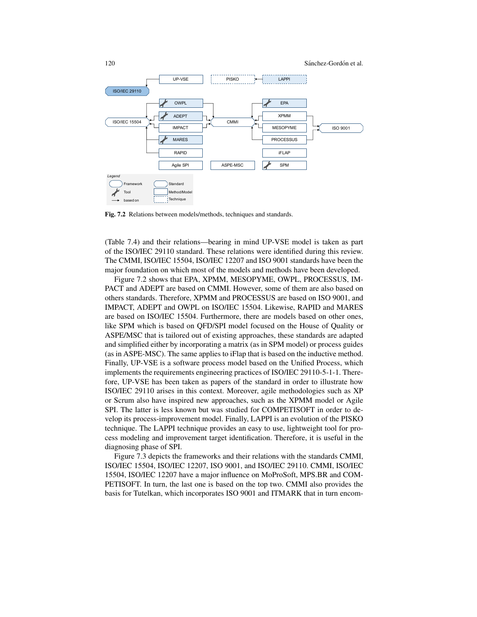

Fig. 7.2 Relations between models/methods, techniques and standards.

(Table 7.4) and their relations—bearing in mind UP-VSE model is taken as part of the ISO/IEC 29110 standard. These relations were identified during this review. The CMMI, ISO/IEC 15504, ISO/IEC 12207 and ISO 9001 standards have been the major foundation on which most of the models and methods have been developed.

Figure 7.2 shows that EPA, XPMM, MESOPYME, OWPL, PROCESSUS, IM-PACT and ADEPT are based on CMMI. However, some of them are also based on others standards. Therefore, XPMM and PROCESSUS are based on ISO 9001, and IMPACT, ADEPT and OWPL on ISO/IEC 15504. Likewise, RAPID and MARES are based on ISO/IEC 15504. Furthermore, there are models based on other ones, like SPM which is based on QFD/SPI model focused on the House of Quality or ASPE/MSC that is tailored out of existing approaches, these standards are adapted and simplified either by incorporating a matrix (as in SPM model) or process guides (as in ASPE-MSC). The same applies to iFlap that is based on the inductive method. Finally, UP-VSE is a software process model based on the Unified Process, which implements the requirements engineering practices of ISO/IEC 29110-5-1-1. Therefore, UP-VSE has been taken as papers of the standard in order to illustrate how ISO/IEC 29110 arises in this context. Moreover, agile methodologies such as XP or Scrum also have inspired new approaches, such as the XPMM model or Agile SPI. The latter is less known but was studied for COMPETISOFT in order to develop its process-improvement model. Finally, LAPPI is an evolution of the PISKO technique. The LAPPI technique provides an easy to use, lightweight tool for process modeling and improvement target identification. Therefore, it is useful in the diagnosing phase of SPI.

Figure 7.3 depicts the frameworks and their relations with the standards CMMI, ISO/IEC 15504, ISO/IEC 12207, ISO 9001, and ISO/IEC 29110. CMMI, ISO/IEC 15504, ISO/IEC 12207 have a major influence on MoProSoft, MPS.BR and COM-PETISOFT. In turn, the last one is based on the top two. CMMI also provides the basis for Tutelkan, which incorporates ISO 9001 and ITMARK that in turn encom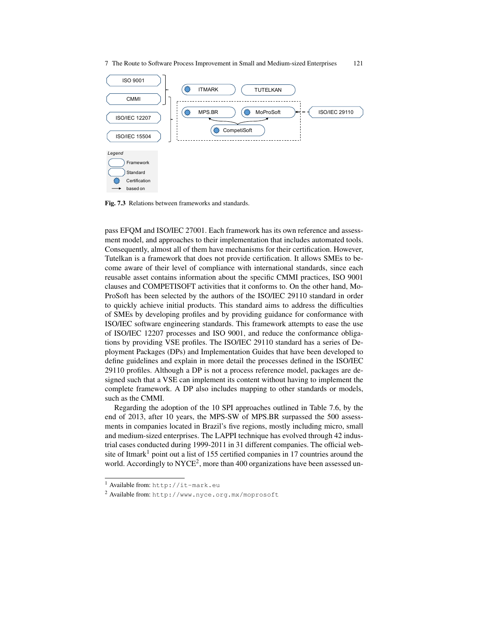7 The Route to Software Process Improvement in Small and Medium-sized Enterprises 121



Fig. 7.3 Relations between frameworks and standards.

pass EFQM and ISO/IEC 27001. Each framework has its own reference and assessment model, and approaches to their implementation that includes automated tools. Consequently, almost all of them have mechanisms for their certification. However, Tutelkan is a framework that does not provide certification. It allows SMEs to become aware of their level of compliance with international standards, since each reusable asset contains information about the specific CMMI practices, ISO 9001 clauses and COMPETISOFT activities that it conforms to. On the other hand, Mo-ProSoft has been selected by the authors of the ISO/IEC 29110 standard in order to quickly achieve initial products. This standard aims to address the difficulties of SMEs by developing profiles and by providing guidance for conformance with ISO/IEC software engineering standards. This framework attempts to ease the use of ISO/IEC 12207 processes and ISO 9001, and reduce the conformance obligations by providing VSE profiles. The ISO/IEC 29110 standard has a series of Deployment Packages (DPs) and Implementation Guides that have been developed to define guidelines and explain in more detail the processes defined in the ISO/IEC 29110 profiles. Although a DP is not a process reference model, packages are designed such that a VSE can implement its content without having to implement the complete framework. A DP also includes mapping to other standards or models, such as the CMMI.

Regarding the adoption of the 10 SPI approaches outlined in Table 7.6, by the end of 2013, after 10 years, the MPS-SW of MPS.BR surpassed the 500 assessments in companies located in Brazil's five regions, mostly including micro, small and medium-sized enterprises. The LAPPI technique has evolved through 42 industrial cases conducted during 1999-2011 in 31 different companies. The official website of Itmark<sup>1</sup> point out a list of 155 certified companies in 17 countries around the world. Accordingly to NYCE<sup>2</sup>, more than 400 organizations have been assessed un-

<sup>1</sup> Available from: http://it-mark.eu

<sup>2</sup> Available from: http://www.nyce.org.mx/moprosoft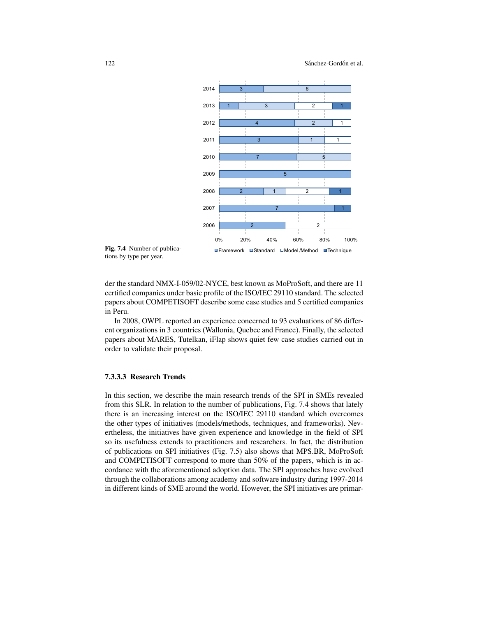

Fig. 7.4 Number of publications by type per year.

der the standard NMX-I-059/02-NYCE, best known as MoProSoft, and there are 11 certified companies under basic profile of the ISO/IEC 29110 standard. The selected papers about COMPETISOFT describe some case studies and 5 certified companies in Peru.

In 2008, OWPL reported an experience concerned to 93 evaluations of 86 different organizations in 3 countries (Wallonia, Quebec and France). Finally, the selected papers about MARES, Tutelkan, iFlap shows quiet few case studies carried out in order to validate their proposal.

### 7.3.3.3 Research Trends

In this section, we describe the main research trends of the SPI in SMEs revealed from this SLR. In relation to the number of publications, Fig. 7.4 shows that lately there is an increasing interest on the ISO/IEC 29110 standard which overcomes the other types of initiatives (models/methods, techniques, and frameworks). Nevertheless, the initiatives have given experience and knowledge in the field of SPI so its usefulness extends to practitioners and researchers. In fact, the distribution of publications on SPI initiatives (Fig. 7.5) also shows that MPS.BR, MoProSoft and COMPETISOFT correspond to more than 50% of the papers, which is in accordance with the aforementioned adoption data. The SPI approaches have evolved through the collaborations among academy and software industry during 1997-2014 in different kinds of SME around the world. However, the SPI initiatives are primar-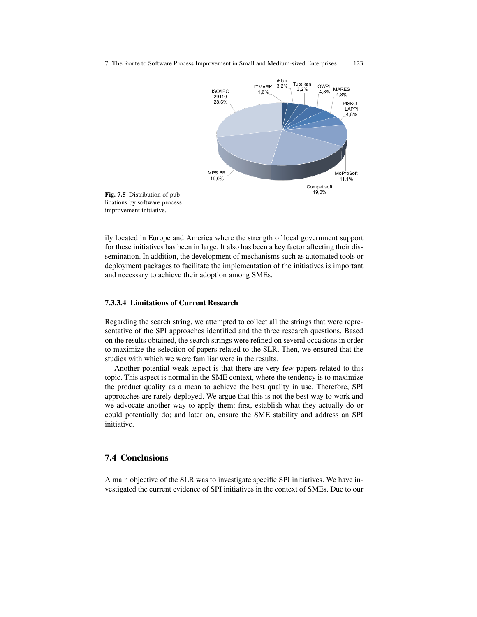



ily located in Europe and America where the strength of local government support for these initiatives has been in large. It also has been a key factor affecting their dissemination. In addition, the development of mechanisms such as automated tools or deployment packages to facilitate the implementation of the initiatives is important and necessary to achieve their adoption among SMEs.

#### 7.3.3.4 Limitations of Current Research

Regarding the search string, we attempted to collect all the strings that were representative of the SPI approaches identified and the three research questions. Based on the results obtained, the search strings were refined on several occasions in order to maximize the selection of papers related to the SLR. Then, we ensured that the studies with which we were familiar were in the results.

Another potential weak aspect is that there are very few papers related to this topic. This aspect is normal in the SME context, where the tendency is to maximize the product quality as a mean to achieve the best quality in use. Therefore, SPI approaches are rarely deployed. We argue that this is not the best way to work and we advocate another way to apply them: first, establish what they actually do or could potentially do; and later on, ensure the SME stability and address an SPI initiative.

### 7.4 Conclusions

A main objective of the SLR was to investigate specific SPI initiatives. We have investigated the current evidence of SPI initiatives in the context of SMEs. Due to our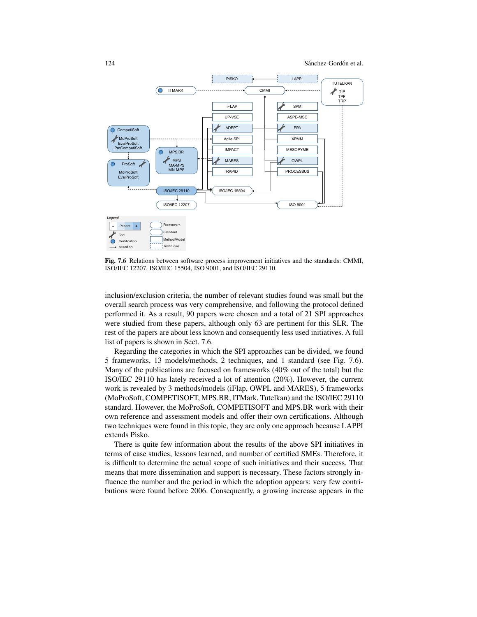

Fig. 7.6 Relations between software process improvement initiatives and the standards: CMMI, ISO/IEC 12207, ISO/IEC 15504, ISO 9001, and ISO/IEC 29110.

inclusion/exclusion criteria, the number of relevant studies found was small but the overall search process was very comprehensive, and following the protocol defined performed it. As a result, 90 papers were chosen and a total of 21 SPI approaches were studied from these papers, although only 63 are pertinent for this SLR. The rest of the papers are about less known and consequently less used initiatives. A full list of papers is shown in Sect. 7.6.

Regarding the categories in which the SPI approaches can be divided, we found 5 frameworks, 13 models/methods, 2 techniques, and 1 standard (see Fig. 7.6). Many of the publications are focused on frameworks (40% out of the total) but the ISO/IEC 29110 has lately received a lot of attention (20%). However, the current work is revealed by 3 methods/models (iFlap, OWPL and MARES), 5 frameworks (MoProSoft, COMPETISOFT, MPS.BR, ITMark, Tutelkan) and the ISO/IEC 29110 standard. However, the MoProSoft, COMPETISOFT and MPS.BR work with their own reference and assessment models and offer their own certifications. Although two techniques were found in this topic, they are only one approach because LAPPI extends Pisko.

There is quite few information about the results of the above SPI initiatives in terms of case studies, lessons learned, and number of certified SMEs. Therefore, it is difficult to determine the actual scope of such initiatives and their success. That means that more dissemination and support is necessary. These factors strongly influence the number and the period in which the adoption appears: very few contributions were found before 2006. Consequently, a growing increase appears in the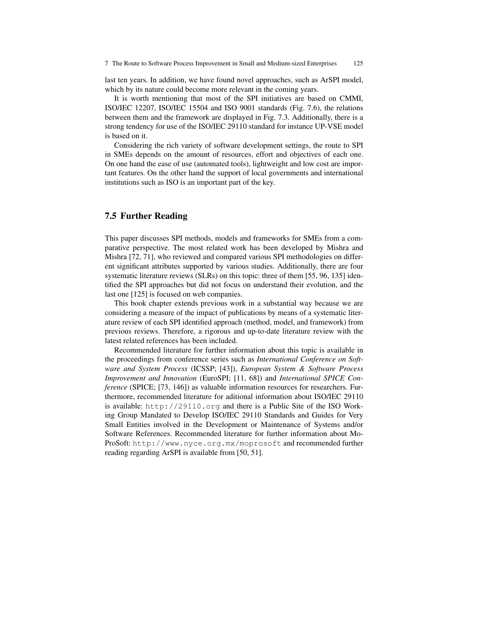last ten years. In addition, we have found novel approaches, such as ArSPI model, which by its nature could become more relevant in the coming years.

It is worth mentioning that most of the SPI initiatives are based on CMMI, ISO/IEC 12207, ISO/IEC 15504 and ISO 9001 standards (Fig. 7.6), the relations between them and the framework are displayed in Fig. 7.3. Additionally, there is a strong tendency for use of the ISO/IEC 29110 standard for instance UP-VSE model is based on it.

Considering the rich variety of software development settings, the route to SPI in SMEs depends on the amount of resources, effort and objectives of each one. On one hand the ease of use (automated tools), lightweight and low cost are important features. On the other hand the support of local governments and international institutions such as ISO is an important part of the key.

### 7.5 Further Reading

This paper discusses SPI methods, models and frameworks for SMEs from a comparative perspective. The most related work has been developed by Mishra and Mishra [72, 71], who reviewed and compared various SPI methodologies on different significant attributes supported by various studies. Additionally, there are four systematic literature reviews (SLRs) on this topic: three of them [55, 96, 135] identified the SPI approaches but did not focus on understand their evolution, and the last one [125] is focused on web companies.

This book chapter extends previous work in a substantial way because we are considering a measure of the impact of publications by means of a systematic literature review of each SPI identified approach (method, model, and framework) from previous reviews. Therefore, a rigorous and up-to-date literature review with the latest related references has been included.

Recommended literature for further information about this topic is available in the proceedings from conference series such as *International Conference on Software and System Process* (ICSSP; [43]), *European System & Software Process Improvement and Innovation* (EuroSPI; [11, 68]) and *International SPICE Conference* (SPICE; [73, 146]) as valuable information resources for researchers. Furthermore, recommended literature for aditional information about ISO/IEC 29110 is available: http://29110.org and there is a Public Site of the ISO Working Group Mandated to Develop ISO/IEC 29110 Standards and Guides for Very Small Entities involved in the Development or Maintenance of Systems and/or Software References. Recommended literature for further information about Mo-ProSoft: http://www.nyce.org.mx/moprosoft and recommended further reading regarding ArSPI is available from [50, 51].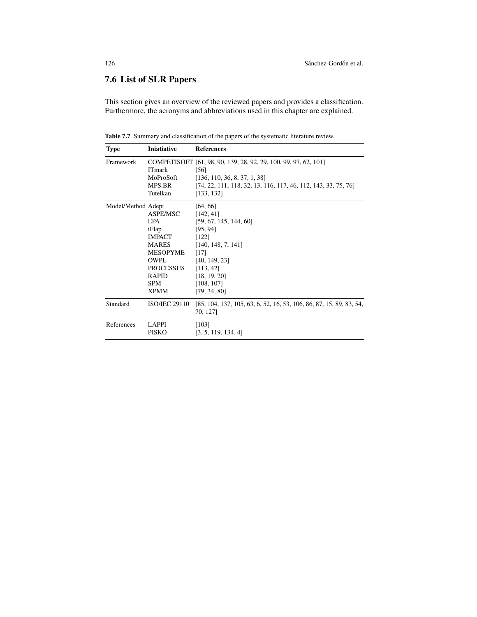## 7.6 List of SLR Papers

This section gives an overview of the reviewed papers and provides a classification. Furthermore, the acronyms and abbreviations used in this chapter are explained.

Table 7.7 Summary and classification of the papers of the systematic literature review.

| <b>Type</b>        | <b>Iniatiative</b>                                                                                                                                            | <b>References</b>                                                                                                                                                                         |
|--------------------|---------------------------------------------------------------------------------------------------------------------------------------------------------------|-------------------------------------------------------------------------------------------------------------------------------------------------------------------------------------------|
| Framework          | <b>ITmark</b><br>MoProSoft<br>MPS.BR<br>Tutelkan                                                                                                              | COMPETISOFT [61, 98, 90, 139, 28, 92, 29, 100, 99, 97, 62, 101]<br>[56]<br>[136, 110, 36, 8, 37, 1, 38]<br>$[74, 22, 111, 118, 32, 13, 116, 117, 46, 112, 143, 33, 75, 76]$<br>[133, 132] |
| Model/Method Adept | ASPE/MSC<br><b>EPA</b><br>iFlap<br><b>IMPACT</b><br><b>MARES</b><br><b>MESOPYME</b><br>OWPL.<br><b>PROCESSUS</b><br><b>RAPID</b><br><b>SPM</b><br><b>XPMM</b> | [64, 66]<br>[142, 41]<br>[59, 67, 145, 144, 60]<br>[95, 94]<br>$[122]$<br>[140, 148, 7, 141]<br>$[17]$<br>[40, 149, 23]<br>[113, 42]<br>[18, 19, 20]<br>[108, 107]<br>[79, 34, 80]        |
| Standard           | <b>ISO/IEC 29110</b>                                                                                                                                          | [85, 104, 137, 105, 63, 6, 52, 16, 53, 106, 86, 87, 15, 89, 83, 54,<br>70, 1271                                                                                                           |
| References         | LAPPI<br><b>PISKO</b>                                                                                                                                         | [103]<br>[3, 5, 119, 134, 4]                                                                                                                                                              |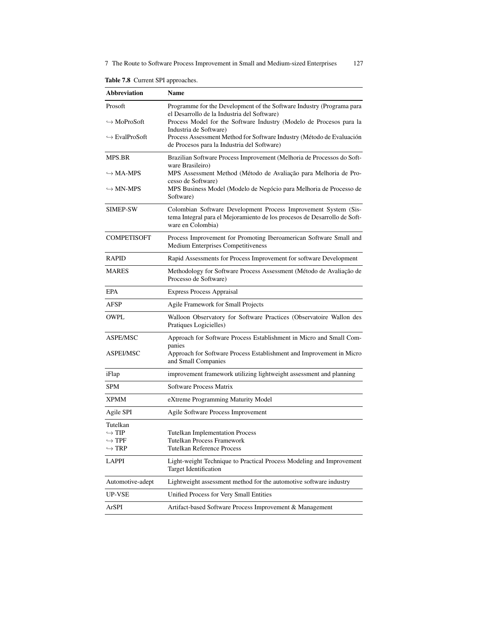7 The Route to Software Process Improvement in Small and Medium-sized Enterprises 127

Table 7.8 Current SPI approaches.

| <b>Abbreviation</b>                            | <b>Name</b>                                                                                                                                                       |
|------------------------------------------------|-------------------------------------------------------------------------------------------------------------------------------------------------------------------|
| Prosoft                                        | Programme for the Development of the Software Industry (Programa para<br>el Desarrollo de la Industria del Software)                                              |
| $\hookrightarrow$ MoProSoft                    | Process Model for the Software Industry (Modelo de Procesos para la<br>Industria de Software)                                                                     |
| $\hookrightarrow$ EvalProSoft                  | Process Assessment Method for Software Industry (Método de Evaluación<br>de Procesos para la Industria del Software)                                              |
| MPS.BR                                         | Brazilian Software Process Improvement (Melhoria de Processos do Soft-                                                                                            |
| $\hookrightarrow$ MA-MPS                       | ware Brasileiro)<br>MPS Assessment Method (Método de Avaliação para Melhoria de Pro-<br>cesso de Software)                                                        |
| $\hookrightarrow$ MN-MPS                       | MPS Business Model (Modelo de Negócio para Melhoria de Processo de<br>Software)                                                                                   |
| SIMEP-SW                                       | Colombian Software Development Process Improvement System (Sis-<br>tema Integral para el Mejoramiento de los procesos de Desarrollo de Soft-<br>ware en Colombia) |
| <b>COMPETISOFT</b>                             | Process Improvement for Promoting Iberoamerican Software Small and<br>Medium Enterprises Competitiveness                                                          |
| <b>RAPID</b>                                   | Rapid Assessments for Process Improvement for software Development                                                                                                |
| <b>MARES</b>                                   | Methodology for Software Process Assessment (Método de Avaliação de<br>Processo de Software)                                                                      |
| <b>EPA</b>                                     | <b>Express Process Appraisal</b>                                                                                                                                  |
| AFSP                                           | Agile Framework for Small Projects                                                                                                                                |
| OWPL                                           | Walloon Observatory for Software Practices (Observatoire Wallon des<br>Pratiques Logicielles)                                                                     |
| ASPE/MSC                                       | Approach for Software Process Establishment in Micro and Small Com-                                                                                               |
| ASPEI/MSC                                      | panies<br>Approach for Software Process Establishment and Improvement in Micro<br>and Small Companies                                                             |
| iFlap                                          | improvement framework utilizing lightweight assessment and planning                                                                                               |
| <b>SPM</b>                                     | Software Process Matrix                                                                                                                                           |
| <b>XPMM</b>                                    | eXtreme Programming Maturity Model                                                                                                                                |
| Agile SPI                                      | Agile Software Process Improvement                                                                                                                                |
| Tutelkan                                       |                                                                                                                                                                   |
| $\hookrightarrow$ TIP<br>$\hookrightarrow$ TPF | <b>Tutelkan Implementation Process</b><br>Tutelkan Process Framework                                                                                              |
| $\hookrightarrow$ TRP                          | <b>Tutelkan Reference Process</b>                                                                                                                                 |
| LAPPI                                          | Light-weight Technique to Practical Process Modeling and Improvement<br>Target Identification                                                                     |
| Automotive-adept                               | Lightweight assessment method for the automotive software industry                                                                                                |
| UP-VSE                                         | Unified Process for Very Small Entities                                                                                                                           |
| ArSPI                                          | Artifact-based Software Process Improvement & Management                                                                                                          |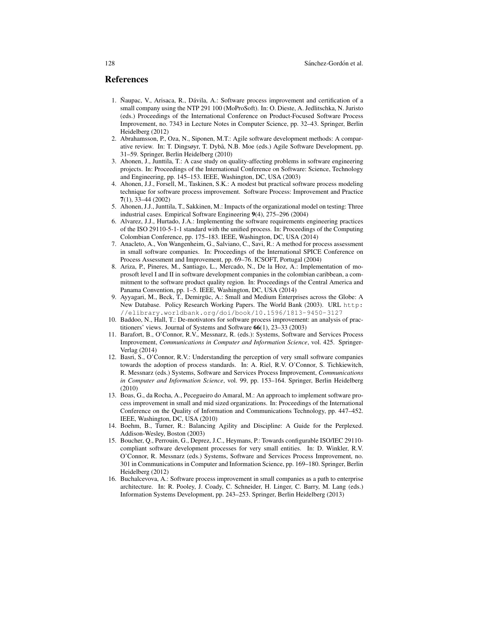#### References

- 1. Naupac, V., Arisaca, R., Dávila, A.: Software process improvement and certification of a small company using the NTP 291 100 (MoProSoft). In: O. Dieste, A. Jedlitschka, N. Juristo (eds.) Proceedings of the International Conference on Product-Focused Software Process Improvement, no. 7343 in Lecture Notes in Computer Science, pp. 32–43. Springer, Berlin Heidelberg (2012)
- 2. Abrahamsson, P., Oza, N., Siponen, M.T.: Agile software development methods: A comparative review. In: T. Dingsøyr, T. Dybå, N.B. Moe (eds.) Agile Software Development, pp. 31–59. Springer, Berlin Heidelberg (2010)
- 3. Ahonen, J., Junttila, T.: A case study on quality-affecting problems in software engineering projects. In: Proceedings of the International Conference on Software: Science, Technology and Engineering, pp. 145–153. IEEE, Washington, DC, USA (2003)
- 4. Ahonen, J.J., Forsell, M., Taskinen, S.K.: A modest but practical software process modeling technique for software process improvement. Software Process: Improvement and Practice 7(1), 33–44 (2002)
- 5. Ahonen, J.J., Junttila, T., Sakkinen, M.: Impacts of the organizational model on testing: Three industrial cases. Empirical Software Engineering 9(4), 275–296 (2004)
- 6. Alvarez, J.J., Hurtado, J.A.: Implementing the software requirements engineering practices of the ISO 29110-5-1-1 standard with the unified process. In: Proceedings of the Computing Colombian Conference, pp. 175–183. IEEE, Washington, DC, USA (2014)
- 7. Anacleto, A., Von Wangenheim, G., Salviano, C., Savi, R.: A method for process assessment in small software companies. In: Proceedings of the International SPICE Conference on Process Assessment and Improvement, pp. 69–76. ICSOFT, Portugal (2004)
- 8. Ariza, P., Pineres, M., Santiago, L., Mercado, N., De la Hoz, A.: Implementation of moprosoft level I and II in software development companies in the colombian caribbean, a commitment to the software product quality region. In: Proceedings of the Central America and Panama Convention, pp. 1–5. IEEE, Washington, DC, USA (2014)
- 9. Ayyagari, M., Beck, T., Demirgüc, A.: Small and Medium Enterprises across the Globe: A New Database. Policy Research Working Papers. The World Bank (2003). URL http: //elibrary.worldbank.org/doi/book/10.1596/1813-9450-3127
- 10. Baddoo, N., Hall, T.: De-motivators for software process improvement: an analysis of practitioners' views. Journal of Systems and Software 66(1), 23–33 (2003)
- 11. Barafort, B., O'Connor, R.V., Messnarz, R. (eds.): Systems, Software and Services Process Improvement, *Communications in Computer and Information Science*, vol. 425. Springer-Verlag (2014)
- 12. Basri, S., O'Connor, R.V.: Understanding the perception of very small software companies towards the adoption of process standards. In: A. Riel, R.V. O'Connor, S. Tichkiewitch, R. Messnarz (eds.) Systems, Software and Services Process Improvement, *Communications in Computer and Information Science*, vol. 99, pp. 153–164. Springer, Berlin Heidelberg (2010)
- 13. Boas, G., da Rocha, A., Pecegueiro do Amaral, M.: An approach to implement software process improvement in small and mid sized organizations. In: Proceedings of the International Conference on the Quality of Information and Communications Technology, pp. 447–452. IEEE, Washington, DC, USA (2010)
- 14. Boehm, B., Turner, R.: Balancing Agility and Discipline: A Guide for the Perplexed. Addison-Wesley, Boston (2003)
- 15. Boucher, Q., Perrouin, G., Deprez, J.C., Heymans, P.: Towards configurable ISO/IEC 29110 compliant software development processes for very small entities. In: D. Winkler, R.V. O'Connor, R. Messnarz (eds.) Systems, Software and Services Process Improvement, no. 301 in Communications in Computer and Information Science, pp. 169–180. Springer, Berlin Heidelberg (2012)
- 16. Buchalcevova, A.: Software process improvement in small companies as a path to enterprise architecture. In: R. Pooley, J. Coady, C. Schneider, H. Linger, C. Barry, M. Lang (eds.) Information Systems Development, pp. 243–253. Springer, Berlin Heidelberg (2013)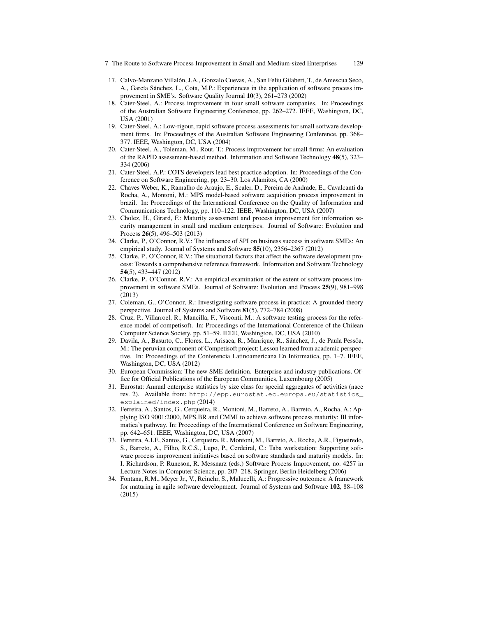- 7 The Route to Software Process Improvement in Small and Medium-sized Enterprises 129
- 17. Calvo-Manzano Villalon, J.A., Gonzalo Cuevas, A., San Feliu Gilabert, T., de Amescua Seco, ´ A., García Sánchez, L., Cota, M.P.: Experiences in the application of software process improvement in SME's. Software Quality Journal 10(3), 261–273 (2002)
- 18. Cater-Steel, A.: Process improvement in four small software companies. In: Proceedings of the Australian Software Engineering Conference, pp. 262–272. IEEE, Washington, DC, USA (2001)
- 19. Cater-Steel, A.: Low-rigour, rapid software process assessments for small software development firms. In: Proceedings of the Australian Software Engineering Conference, pp. 368– 377. IEEE, Washington, DC, USA (2004)
- 20. Cater-Steel, A., Toleman, M., Rout, T.: Process improvement for small firms: An evaluation of the RAPID assessment-based method. Information and Software Technology 48(5), 323– 334 (2006)
- 21. Cater-Steel, A.P.: COTS developers lead best practice adoption. In: Proceedings of the Conference on Software Engineering, pp. 23–30. Los Alamitos, CA (2000)
- 22. Chaves Weber, K., Ramalho de Araujo, E., Scaler, D., Pereira de Andrade, E., Cavalcanti da Rocha, A., Montoni, M.: MPS model-based software acquisition process improvement in brazil. In: Proceedings of the International Conference on the Quality of Information and Communications Technology, pp. 110–122. IEEE, Washington, DC, USA (2007)
- 23. Cholez, H., Girard, F.: Maturity assessment and process improvement for information security management in small and medium enterprises. Journal of Software: Evolution and Process 26(5), 496–503 (2013)
- 24. Clarke, P., O'Connor, R.V.: The influence of SPI on business success in software SMEs: An empirical study. Journal of Systems and Software 85(10), 2356–2367 (2012)
- 25. Clarke, P., O'Connor, R.V.: The situational factors that affect the software development process: Towards a comprehensive reference framework. Information and Software Technology 54(5), 433–447 (2012)
- 26. Clarke, P., O'Connor, R.V.: An empirical examination of the extent of software process improvement in software SMEs. Journal of Software: Evolution and Process 25(9), 981–998 (2013)
- 27. Coleman, G., O'Connor, R.: Investigating software process in practice: A grounded theory perspective. Journal of Systems and Software 81(5), 772–784 (2008)
- 28. Cruz, P., Villarroel, R., Mancilla, F., Visconti, M.: A software testing process for the reference model of competisoft. In: Proceedings of the International Conference of the Chilean Computer Science Society, pp. 51–59. IEEE, Washington, DC, USA (2010)
- 29. Davila, A., Basurto, C., Flores, L., Arisaca, R., Manrique, R., Sánchez, J., de Paula Pessôa, M.: The peruvian component of Competisoft project: Lesson learned from academic perspective. In: Proceedings of the Conferencia Latinoamericana En Informatica, pp. 1–7. IEEE, Washington, DC, USA (2012)
- 30. European Commission: The new SME definition. Enterprise and industry publications. Office for Official Publications of the European Communities, Luxembourg (2005)
- 31. Eurostat: Annual enterprise statistics by size class for special aggregates of activities (nace rev. 2). Available from: http://epp.eurostat.ec.europa.eu/statistics\_ explained/index.php (2014)
- 32. Ferreira, A., Santos, G., Cerqueira, R., Montoni, M., Barreto, A., Barreto, A., Rocha, A.: Applying ISO 9001:2000, MPS.BR and CMMI to achieve software process maturity: Bl informatica's pathway. In: Proceedings of the International Conference on Software Engineering, pp. 642–651. IEEE, Washington, DC, USA (2007)
- 33. Ferreira, A.I.F., Santos, G., Cerqueira, R., Montoni, M., Barreto, A., Rocha, A.R., Figueiredo, S., Barreto, A., Filho, R.C.S., Lupo, P., Cerdeiral, C.: Taba workstation: Supporting software process improvement initiatives based on software standards and maturity models. In: I. Richardson, P. Runeson, R. Messnarz (eds.) Software Process Improvement, no. 4257 in Lecture Notes in Computer Science, pp. 207–218. Springer, Berlin Heidelberg (2006)
- 34. Fontana, R.M., Meyer Jr., V., Reinehr, S., Malucelli, A.: Progressive outcomes: A framework for maturing in agile software development. Journal of Systems and Software 102, 88–108 (2015)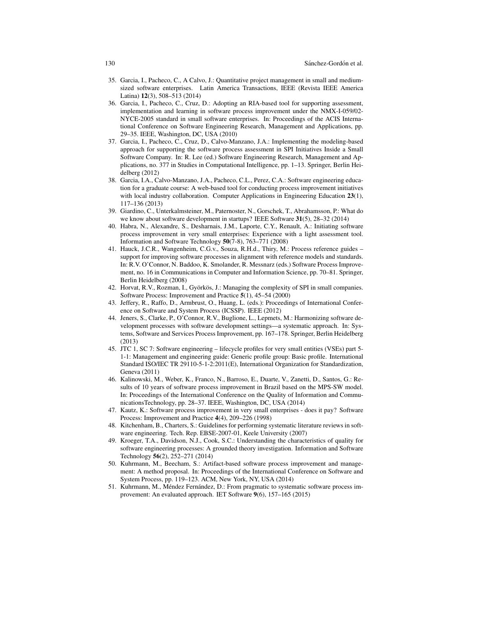- 35. Garcia, I., Pacheco, C., A Calvo, J.: Quantitative project management in small and mediumsized software enterprises. Latin America Transactions, IEEE (Revista IEEE America Latina) 12(3), 508–513 (2014)
- 36. Garcia, I., Pacheco, C., Cruz, D.: Adopting an RIA-based tool for supporting assessment, implementation and learning in software process improvement under the NMX-I-059/02- NYCE-2005 standard in small software enterprises. In: Proceedings of the ACIS International Conference on Software Engineering Research, Management and Applications, pp. 29–35. IEEE, Washington, DC, USA (2010)
- 37. Garcia, I., Pacheco, C., Cruz, D., Calvo-Manzano, J.A.: Implementing the modeling-based approach for supporting the software process assessment in SPI Initiatives Inside a Small Software Company. In: R. Lee (ed.) Software Engineering Research, Management and Applications, no. 377 in Studies in Computational Intelligence, pp. 1–13. Springer, Berlin Heidelberg (2012)
- 38. Garcia, I.A., Calvo-Manzano, J.A., Pacheco, C.L., Perez, C.A.: Software engineering education for a graduate course: A web-based tool for conducting process improvement initiatives with local industry collaboration. Computer Applications in Engineering Education 23(1), 117–136 (2013)
- 39. Giardino, C., Unterkalmsteiner, M., Paternoster, N., Gorschek, T., Abrahamsson, P.: What do we know about software development in startups? IEEE Software 31(5), 28-32 (2014)
- 40. Habra, N., Alexandre, S., Desharnais, J.M., Laporte, C.Y., Renault, A.: Initiating software process improvement in very small enterprises: Experience with a light assessment tool. Information and Software Technology 50(7-8), 763–771 (2008)
- 41. Hauck, J.C.R., Wangenheim, C.G.v., Souza, R.H.d., Thiry, M.: Process reference guides support for improving software processes in alignment with reference models and standards. In: R.V. O'Connor, N. Baddoo, K. Smolander, R. Messnarz (eds.) Software Process Improvement, no. 16 in Communications in Computer and Information Science, pp. 70–81. Springer, Berlin Heidelberg (2008)
- 42. Horvat, R.V., Rozman, I., Györkös, J.: Managing the complexity of SPI in small companies. Software Process: Improvement and Practice 5(1), 45–54 (2000)
- 43. Jeffery, R., Raffo, D., Armbrust, O., Huang, L. (eds.): Proceedings of International Conference on Software and System Process (ICSSP). IEEE (2012)
- 44. Jeners, S., Clarke, P., O'Connor, R.V., Buglione, L., Lepmets, M.: Harmonizing software development processes with software development settings—a systematic approach. In: Systems, Software and Services Process Improvement, pp. 167–178. Springer, Berlin Heidelberg (2013)
- 45. JTC 1, SC 7: Software engineering lifecycle profiles for very small entities (VSEs) part 5- 1-1: Management and engineering guide: Generic profile group: Basic profile. International Standard ISO/IEC TR 29110-5-1-2:2011(E), International Organization for Standardization, Geneva (2011)
- 46. Kalinowski, M., Weber, K., Franco, N., Barroso, E., Duarte, V., Zanetti, D., Santos, G.: Results of 10 years of software process improvement in Brazil based on the MPS-SW model. In: Proceedings of the International Conference on the Quality of Information and CommunicationsTechnology, pp. 28–37. IEEE, Washington, DC, USA (2014)
- 47. Kautz, K.: Software process improvement in very small enterprises does it pay? Software Process: Improvement and Practice 4(4), 209–226 (1998)
- 48. Kitchenham, B., Charters, S.: Guidelines for performing systematic literature reviews in software engineering. Tech. Rep. EBSE-2007-01, Keele University (2007)
- 49. Kroeger, T.A., Davidson, N.J., Cook, S.C.: Understanding the characteristics of quality for software engineering processes: A grounded theory investigation. Information and Software Technology 56(2), 252–271 (2014)
- 50. Kuhrmann, M., Beecham, S.: Artifact-based software process improvement and management: A method proposal. In: Proceedings of the International Conference on Software and System Process, pp. 119–123. ACM, New York, NY, USA (2014)
- 51. Kuhrmann, M., Méndez Fernández, D.: From pragmatic to systematic software process improvement: An evaluated approach. IET Software 9(6), 157–165 (2015)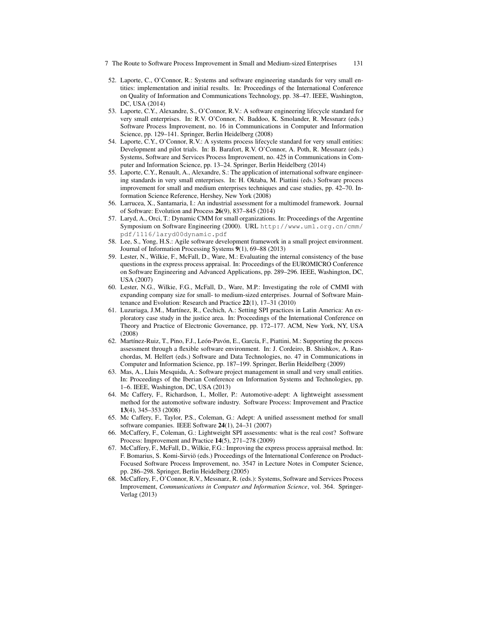- 7 The Route to Software Process Improvement in Small and Medium-sized Enterprises 131
- 52. Laporte, C., O'Connor, R.: Systems and software engineering standards for very small entities: implementation and initial results. In: Proceedings of the International Conference on Quality of Information and Communications Technology, pp. 38–47. IEEE, Washington, DC, USA (2014)
- 53. Laporte, C.Y., Alexandre, S., O'Connor, R.V.: A software engineering lifecycle standard for very small enterprises. In: R.V. O'Connor, N. Baddoo, K. Smolander, R. Messnarz (eds.) Software Process Improvement, no. 16 in Communications in Computer and Information Science, pp. 129–141. Springer, Berlin Heidelberg (2008)
- 54. Laporte, C.Y., O'Connor, R.V.: A systems process lifecycle standard for very small entities: Development and pilot trials. In: B. Barafort, R.V. O'Connor, A. Poth, R. Messnarz (eds.) Systems, Software and Services Process Improvement, no. 425 in Communications in Computer and Information Science, pp. 13–24. Springer, Berlin Heidelberg (2014)
- 55. Laporte, C.Y., Renault, A., Alexandre, S.: The application of international software engineering standards in very small enterprises. In: H. Oktaba, M. Piattini (eds.) Software process improvement for small and medium enterprises techniques and case studies, pp. 42–70. Information Science Reference, Hershey, New York (2008)
- 56. Larrucea, X., Santamaria, I.: An industrial assessment for a multimodel framework. Journal of Software: Evolution and Process 26(9), 837–845 (2014)
- 57. Laryd, A., Orci, T.: Dynamic CMM for small organizations. In: Proceedings of the Argentine Symposium on Software Engineering (2000). URL http://www.uml.org.cn/cmm/ pdf/1116/laryd00dynamic.pdf
- 58. Lee, S., Yong, H.S.: Agile software development framework in a small project environment. Journal of Information Processing Systems 9(1), 69–88 (2013)
- 59. Lester, N., Wilkie, F., McFall, D., Ware, M.: Evaluating the internal consistency of the base questions in the express process appraisal. In: Proceedings of the EUROMICRO Conference on Software Engineering and Advanced Applications, pp. 289–296. IEEE, Washington, DC, USA (2007)
- 60. Lester, N.G., Wilkie, F.G., McFall, D., Ware, M.P.: Investigating the role of CMMI with expanding company size for small- to medium-sized enterprises. Journal of Software Maintenance and Evolution: Research and Practice 22(1), 17–31 (2010)
- 61. Luzuriaga, J.M., Martínez, R., Cechich, A.: Setting SPI practices in Latin America: An exploratory case study in the justice area. In: Proceedings of the International Conference on Theory and Practice of Electronic Governance, pp. 172–177. ACM, New York, NY, USA (2008)
- 62. Martínez-Ruiz, T., Pino, F.J., León-Pavón, E., García, F., Piattini, M.: Supporting the process assessment through a flexible software environment. In: J. Cordeiro, B. Shishkov, A. Ranchordas, M. Helfert (eds.) Software and Data Technologies, no. 47 in Communications in Computer and Information Science, pp. 187–199. Springer, Berlin Heidelberg (2009)
- 63. Mas, A., Lluis Mesquida, A.: Software project management in small and very small entities. In: Proceedings of the Iberian Conference on Information Systems and Technologies, pp. 1–6. IEEE, Washington, DC, USA (2013)
- 64. Mc Caffery, F., Richardson, I., Moller, P.: Automotive-adept: A lightweight assessment method for the automotive software industry. Software Process: Improvement and Practice 13(4), 345–353 (2008)
- 65. Mc Caffery, F., Taylor, P.S., Coleman, G.: Adept: A unified assessment method for small software companies. IEEE Software 24(1), 24–31 (2007)
- 66. McCaffery, F., Coleman, G.: Lightweight SPI assessments: what is the real cost? Software Process: Improvement and Practice 14(5), 271–278 (2009)
- 67. McCaffery, F., McFall, D., Wilkie, F.G.: Improving the express process appraisal method. In: F. Bomarius, S. Komi-Sirviö (eds.) Proceedings of the International Conference on Product-Focused Software Process Improvement, no. 3547 in Lecture Notes in Computer Science, pp. 286–298. Springer, Berlin Heidelberg (2005)
- 68. McCaffery, F., O'Connor, R.V., Messnarz, R. (eds.): Systems, Software and Services Process Improvement, *Communications in Computer and Information Science*, vol. 364. Springer-Verlag (2013)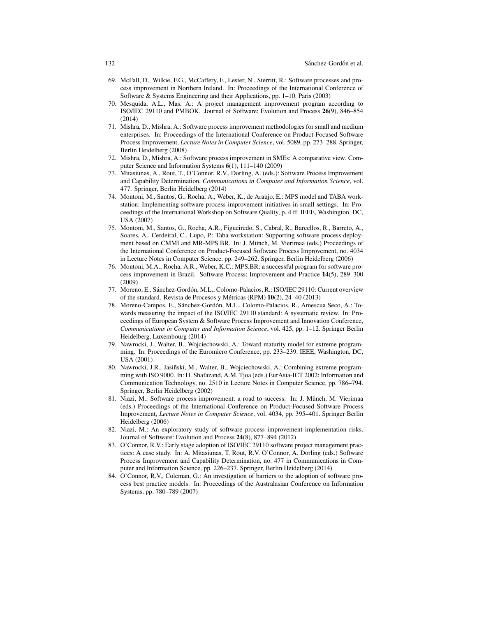- 69. McFall, D., Wilkie, F.G., McCaffery, F., Lester, N., Sterritt, R.: Software processes and process improvement in Northern Ireland. In: Proceedings of the International Conference of Software & Systems Engineering and their Applications, pp. 1–10. Paris (2003)
- 70. Mesquida, A.L., Mas, A.: A project management improvement program according to ISO/IEC 29110 and PMBOK. Journal of Software: Evolution and Process 26(9), 846–854 (2014)
- 71. Mishra, D., Mishra, A.: Software process improvement methodologies for small and medium enterprises. In: Proceedings of the International Conference on Product-Focused Software Process Improvement, *Lecture Notes in Computer Science*, vol. 5089, pp. 273–288. Springer, Berlin Heidelberg (2008)
- 72. Mishra, D., Mishra, A.: Software process improvement in SMEs: A comparative view. Computer Science and Information Systems 6(1), 111–140 (2009)
- 73. Mitasiunas, A., Rout, T., O'Connor, R.V., Dorling, A. (eds.): Software Process Improvement and Capability Determination, *Communications in Computer and Information Science*, vol. 477. Springer, Berlin Heidelberg (2014)
- 74. Montoni, M., Santos, G., Rocha, A., Weber, K., de Araujo, E.: MPS model and TABA workstation: Implementing software process improvement initiatives in small settings. In: Proceedings of the International Workshop on Software Quality, p. 4 ff. IEEE, Washington, DC, USA (2007)
- 75. Montoni, M., Santos, G., Rocha, A.R., Figueiredo, S., Cabral, R., Barcellos, R., Barreto, A., Soares, A., Cerdeiral, C., Lupo, P.: Taba workstation: Supporting software process deployment based on CMMI and MR-MPS.BR. In: J. Münch, M. Vierimaa (eds.) Proceedings of the International Conference on Product-Focused Software Process Improvement, no. 4034 in Lecture Notes in Computer Science, pp. 249–262. Springer, Berlin Heidelberg (2006)
- 76. Montoni, M.A., Rocha, A.R., Weber, K.C.: MPS.BR: a successful program for software process improvement in Brazil. Software Process: Improvement and Practice 14(5), 289–300 (2009)
- 77. Moreno, E., Sánchez-Gordón, M.L., Colomo-Palacios, R.: ISO/IEC 29110: Current overview of the standard. Revista de Procesos y Métricas (RPM)  $10(2)$ , 24–40 (2013)
- 78. Moreno-Campos, E., Sánchez-Gordón, M.L., Colomo-Palacios, R., Amescua Seco, A.: Towards measuring the impact of the ISO/IEC 29110 standard: A systematic review. In: Proceedings of European System & Software Process Improvement and Innovation Conference, *Communications in Computer and Information Science*, vol. 425, pp. 1–12. Springer Berlin Heidelberg, Luxembourg (2014)
- 79. Nawrocki, J., Walter, B., Wojciechowski, A.: Toward maturity model for extreme programming. In: Proceedings of the Euromicro Conference, pp. 233–239. IEEE, Washington, DC, USA (2001)
- 80. Nawrocki, J.R., Jasiñski, M., Walter, B., Wojciechowski, A.: Combining extreme programming with ISO 9000. In: H. Shafazand, A.M. Tjoa (eds.) EurAsia-ICT 2002: Information and Communication Technology, no. 2510 in Lecture Notes in Computer Science, pp. 786–794. Springer, Berlin Heidelberg (2002)
- 81. Niazi, M.: Software process improvement: a road to success. In: J. Münch, M. Vierimaa (eds.) Proceedings of the International Conference on Product-Focused Software Process Improvement, *Lecture Notes in Computer Science*, vol. 4034, pp. 395–401. Springer Berlin Heidelberg (2006)
- 82. Niazi, M.: An exploratory study of software process improvement implementation risks. Journal of Software: Evolution and Process 24(8), 877–894 (2012)
- 83. O'Connor, R.V.: Early stage adoption of ISO/IEC 29110 software project management practices: A case study. In: A. Mitasiunas, T. Rout, R.V. O'Connor, A. Dorling (eds.) Software Process Improvement and Capability Determination, no. 477 in Communications in Computer and Information Science, pp. 226–237. Springer, Berlin Heidelberg (2014)
- 84. O'Connor, R.V., Coleman, G.: An investigation of barriers to the adoption of software process best practice models. In: Proceedings of the Australasian Conference on Information Systems, pp. 780–789 (2007)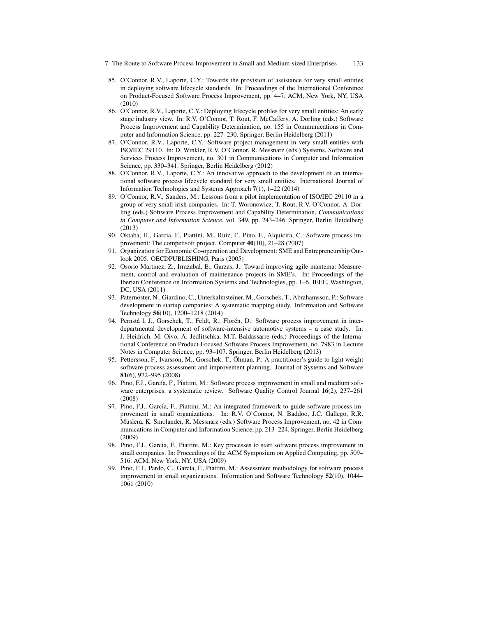- 7 The Route to Software Process Improvement in Small and Medium-sized Enterprises 133
- 85. O'Connor, R.V., Laporte, C.Y.: Towards the provision of assistance for very small entities in deploying software lifecycle standards. In: Proceedings of the International Conference on Product-Focused Software Process Improvement, pp. 4–7. ACM, New York, NY, USA (2010)
- 86. O'Connor, R.V., Laporte, C.Y.: Deploying lifecycle profiles for very small entities: An early stage industry view. In: R.V. O'Connor, T. Rout, F. McCaffery, A. Dorling (eds.) Software Process Improvement and Capability Determination, no. 155 in Communications in Computer and Information Science, pp. 227–230. Springer, Berlin Heidelberg (2011)
- 87. O'Connor, R.V., Laporte, C.Y.: Software project management in very small entities with ISO/IEC 29110. In: D. Winkler, R.V. O'Connor, R. Messnarz (eds.) Systems, Software and Services Process Improvement, no. 301 in Communications in Computer and Information Science, pp. 330–341. Springer, Berlin Heidelberg (2012)
- 88. O'Connor, R.V., Laporte, C.Y.: An innovative approach to the development of an international software process lifecycle standard for very small entities. International Journal of Information Technologies and Systems Approach 7(1), 1–22 (2014)
- 89. O'Connor, R.V., Sanders, M.: Lessons from a pilot implementation of ISO/IEC 29110 in a group of very small irish companies. In: T. Woronowicz, T. Rout, R.V. O'Connor, A. Dorling (eds.) Software Process Improvement and Capability Determination, *Communications in Computer and Information Science*, vol. 349, pp. 243–246. Springer, Berlin Heidelberg (2013)
- 90. Oktaba, H., Garcia, F., Piattini, M., Ruiz, F., Pino, F., Alquicira, C.: Software process improvement: The competisoft project. Computer 40(10), 21–28 (2007)
- 91. Organization for Economic Co-operation and Development: SME and Entrepreneurship Outlook 2005. OECDPUBLISHING, Paris (2005)
- 92. Osorio Martinez, Z., Irrazabal, E., Garzas, J.: Toward improving agile mantema: Measurement, control and evaluation of maintenance projects in SME's. In: Proceedings of the Iberian Conference on Information Systems and Technologies, pp. 1–6. IEEE, Washington, DC, USA (2011)
- 93. Paternoster, N., Giardino, C., Unterkalmsteiner, M., Gorschek, T., Abrahamsson, P.: Software development in startup companies: A systematic mapping study. Information and Software Technology 56(10), 1200–1218 (2014)
- 94. Pernstå l, J., Gorschek, T., Feldt, R., Florén, D.: Software process improvement in interdepartmental development of software-intensive automotive systems – a case study. In: J. Heidrich, M. Oivo, A. Jedlitschka, M.T. Baldassarre (eds.) Proceedings of the International Conference on Product-Focused Software Process Improvement, no. 7983 in Lecture Notes in Computer Science, pp. 93–107. Springer, Berlin Heidelberg (2013)
- 95. Pettersson, F., Ivarsson, M., Gorschek, T., Öhman, P.: A practitioner's guide to light weight software process assessment and improvement planning. Journal of Systems and Software 81(6), 972–995 (2008)
- 96. Pino, F.J., García, F., Piattini, M.: Software process improvement in small and medium software enterprises: a systematic review. Software Quality Control Journal 16(2), 237–261 (2008)
- 97. Pino, F.J., García, F., Piattini, M.: An integrated framework to guide software process improvement in small organizations. In: R.V. O'Connor, N. Baddoo, J.C. Gallego, R.R. Muslera, K. Smolander, R. Messnarz (eds.) Software Process Improvement, no. 42 in Communications in Computer and Information Science, pp. 213–224. Springer, Berlin Heidelberg (2009)
- 98. Pino, F.J., Garcia, F., Piattini, M.: Key processes to start software process improvement in small companies. In: Proceedings of the ACM Symposium on Applied Computing, pp. 509– 516. ACM, New York, NY, USA (2009)
- 99. Pino, F.J., Pardo, C., García, F., Piattini, M.: Assessment methodology for software process improvement in small organizations. Information and Software Technology 52(10), 1044– 1061 (2010)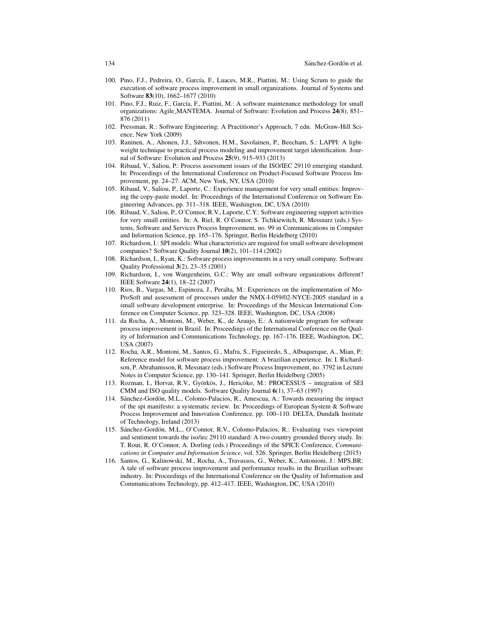- 100. Pino, F.J., Pedreira, O., García, F., Luaces, M.R., Piattini, M.: Using Scrum to guide the execution of software process improvement in small organizations. Journal of Systems and Software 83(10), 1662–1677 (2010)
- 101. Pino, F.J., Ruiz, F., García, F., Piattini, M.: A software maintenance methodology for small organizations: Agile MANTEMA. Journal of Software: Evolution and Process 24(8), 851– 876 (2011)
- 102. Pressman, R.: Software Engineering: A Practitioner's Approach, 7 edn. McGraw-Hill Science, New York (2009)
- 103. Raninen, A., Ahonen, J.J., Sihvonen, H.M., Savolainen, P., Beecham, S.: LAPPI: A lightweight technique to practical process modeling and improvement target identification. Journal of Software: Evolution and Process 25(9), 915–933 (2013)
- 104. Ribaud, V., Saliou, P.: Process assessment issues of the ISO/IEC 29110 emerging standard. In: Proceedings of the International Conference on Product-Focused Software Process Improvement, pp. 24–27. ACM, New York, NY, USA (2010)
- 105. Ribaud, V., Saliou, P., Laporte, C.: Experience management for very small entities: Improving the copy-paste model. In: Proceedings of the International Conference on Software Engineering Advances, pp. 311–318. IEEE, Washington, DC, USA (2010)
- 106. Ribaud, V., Saliou, P., O'Connor, R.V., Laporte, C.Y.: Software engineering support activities for very small entities. In: A. Riel, R. O'Connor, S. Tichkiewitch, R. Messnarz (eds.) Systems, Software and Services Process Improvement, no. 99 in Communications in Computer and Information Science, pp. 165–176. Springer, Berlin Heidelberg (2010)
- 107. Richardson, I.: SPI models: What characteristics are required for small software development companies? Software Quality Journal 10(2), 101–114 (2002)
- 108. Richardson, I., Ryan, K.: Software process improvements in a very small company. Software Quality Professional 3(2), 23–35 (2001)
- 109. Richardson, I., von Wangenheim, G.C.: Why are small software organizations different? IEEE Software 24(1), 18–22 (2007)
- 110. Rios, B., Vargas, M., Espinoza, J., Peralta, M.: Experiences on the implementation of Mo-ProSoft and assessment of processes under the NMX-I-059/02-NYCE-2005 standard in a small software development enterprise. In: Proceedings of the Mexican International Conference on Computer Science, pp. 323–328. IEEE, Washington, DC, USA (2008)
- 111. da Rocha, A., Montoni, M., Weber, K., de Araujo, E.: A nationwide program for software process improvement in Brazil. In: Proceedings of the International Conference on the Quality of Information and Communications Technology, pp. 167–176. IEEE, Washington, DC, USA (2007)
- 112. Rocha, A.R., Montoni, M., Santos, G., Mafra, S., Figueiredo, S., Albuquerque, A., Mian, P.: Reference model for software process improvement: A brazilian experience. In: I. Richardson, P. Abrahamsson, R. Messnarz (eds.) Software Process Improvement, no. 3792 in Lecture Notes in Computer Science, pp. 130–141. Springer, Berlin Heidelberg (2005)
- 113. Rozman, I., Horvat, R.V., Györkös, J., Hericòko, M.: PROCESSUS integration of SEI CMM and ISO quality models. Software Quality Journal 6(1), 37–63 (1997)
- 114. Sánchez-Gordón, M.L., Colomo-Palacios, R., Amescua, A.: Towards measuring the impact of the spi manifesto: a systematic review. In: Proceedings of European System & Software Process Improvement and Innovation Conference, pp. 100–110. DELTA, Dundalk Institute of Technology, Ireland (2013)
- 115. Sánchez-Gordón, M.L., O'Connor, R.V., Colomo-Palacios, R.: Evaluating vses viewpoint and sentiment towards the iso/iec 29110 standard: A two country grounded theory study. In: T. Rout, R. O'Connor, A. Dorling (eds.) Proceedings of the SPICE Conference, *Communications in Computer and Information Science*, vol. 526. Springer, Berlin Heidelberg (2015)
- 116. Santos, G., Kalinowski, M., Rocha, A., Travassos, G., Weber, K., Antonioni, J.: MPS.BR: A tale of software process improvement and performance results in the Brazilian software industry. In: Proceedings of the International Conference on the Quality of Information and Communications Technology, pp. 412–417. IEEE, Washington, DC, USA (2010)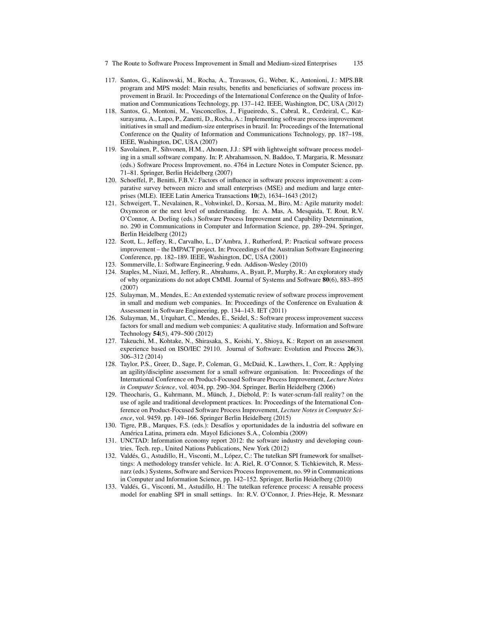- 7 The Route to Software Process Improvement in Small and Medium-sized Enterprises 135
- 117. Santos, G., Kalinowski, M., Rocha, A., Travassos, G., Weber, K., Antonioni, J.: MPS.BR program and MPS model: Main results, benefits and beneficiaries of software process improvement in Brazil. In: Proceedings of the International Conference on the Quality of Information and Communications Technology, pp. 137–142. IEEE, Washington, DC, USA (2012)
- 118. Santos, G., Montoni, M., Vasconcellos, J., Figueiredo, S., Cabral, R., Cerdeiral, C., Katsurayama, A., Lupo, P., Zanetti, D., Rocha, A.: Implementing software process improvement initiatives in small and medium-size enterprises in brazil. In: Proceedings of the International Conference on the Quality of Information and Communications Technology, pp. 187–198. IEEE, Washington, DC, USA (2007)
- 119. Savolainen, P., Sihvonen, H.M., Ahonen, J.J.: SPI with lightweight software process modeling in a small software company. In: P. Abrahamsson, N. Baddoo, T. Margaria, R. Messnarz (eds.) Software Process Improvement, no. 4764 in Lecture Notes in Computer Science, pp. 71–81. Springer, Berlin Heidelberg (2007)
- 120. Schoeffel, P., Benitti, F.B.V.: Factors of influence in software process improvement: a comparative survey between micro and small enterprises (MSE) and medium and large enterprises (MLE). IEEE Latin America Transactions 10(2), 1634–1643 (2012)
- 121. Schweigert, T., Nevalainen, R., Vohwinkel, D., Korsaa, M., Biro, M.: Agile maturity model: Oxymoron or the next level of understanding. In: A. Mas, A. Mesquida, T. Rout, R.V. O'Connor, A. Dorling (eds.) Software Process Improvement and Capability Determination, no. 290 in Communications in Computer and Information Science, pp. 289–294. Springer, Berlin Heidelberg (2012)
- 122. Scott, L., Jeffery, R., Carvalho, L., D'Ambra, J., Rutherford, P.: Practical software process improvement – the IMPACT project. In: Proceedings of the Australian Software Engineering Conference, pp. 182–189. IEEE, Washington, DC, USA (2001)
- 123. Sommerville, I.: Software Engineering, 9 edn. Addison-Wesley (2010)
- 124. Staples, M., Niazi, M., Jeffery, R., Abrahams, A., Byatt, P., Murphy, R.: An exploratory study of why organizations do not adopt CMMI. Journal of Systems and Software 80(6), 883–895 (2007)
- 125. Sulayman, M., Mendes, E.: An extended systematic review of software process improvement in small and medium web companies. In: Proceedings of the Conference on Evaluation  $\&$ Assessment in Software Engineering, pp. 134–143. IET (2011)
- 126. Sulayman, M., Urquhart, C., Mendes, E., Seidel, S.: Software process improvement success factors for small and medium web companies: A qualitative study. Information and Software Technology 54(5), 479–500 (2012)
- 127. Takeuchi, M., Kohtake, N., Shirasaka, S., Koishi, Y., Shioya, K.: Report on an assessment experience based on ISO/IEC 29110. Journal of Software: Evolution and Process 26(3), 306–312 (2014)
- 128. Taylor, P.S., Greer, D., Sage, P., Coleman, G., McDaid, K., Lawthers, I., Corr, R.: Applying an agility/discipline assessment for a small software organisation. In: Proceedings of the International Conference on Product-Focused Software Process Improvement, *Lecture Notes in Computer Science*, vol. 4034, pp. 290–304. Springer, Berlin Heidelberg (2006)
- 129. Theocharis, G., Kuhrmann, M., Münch, J., Diebold, P.: Is water-scrum-fall reality? on the use of agile and traditional development practices. In: Proceedings of the International Conference on Product-Focused Software Process Improvement, *Lecture Notes in Computer Science*, vol. 9459, pp. 149–166. Springer Berlin Heidelberg (2015)
- 130. Tigre, P.B., Marques, F.S. (eds.): Desaf´ıos y oportunidades de la industria del software en America Latina, primera edn. Mayol Ediciones S.A., Colombia (2009) ´
- 131. UNCTAD: Information economy report 2012: the software industry and developing countries. Tech. rep., United Nations Publications, New York (2012)
- 132. Valdés, G., Astudillo, H., Visconti, M., López, C.: The tutelkan SPI framework for smallsettings: A methodology transfer vehicle. In: A. Riel, R. O'Connor, S. Tichkiewitch, R. Messnarz (eds.) Systems, Software and Services Process Improvement, no. 99 in Communications in Computer and Information Science, pp. 142–152. Springer, Berlin Heidelberg (2010)
- 133. Valdés, G., Visconti, M., Astudillo, H.: The tutelkan reference process: A reusable process model for enabling SPI in small settings. In: R.V. O'Connor, J. Pries-Heje, R. Messnarz